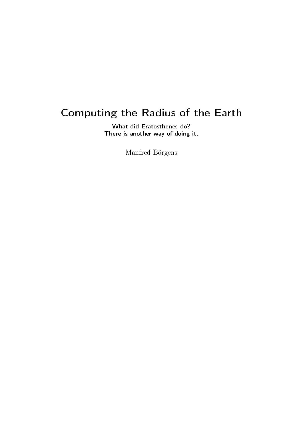# Computing the Radius of the Earth

What did Eratosthenes do? There is another way of doing it.

Manfred Börgens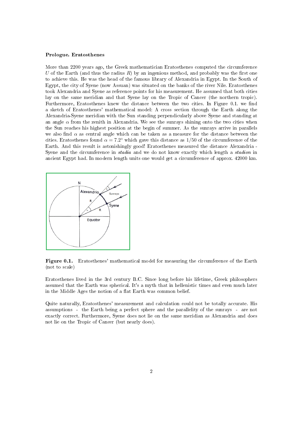#### Prologue. Eratosthenes

More than 2200 years ago, the Greek mathematician Eratosthenes computed the circumference U of the Earth (and thus the radius  $R$ ) by an ingenious method, and probably was the first one to achieve this. He was the head of the famous library of Alexandria in Egypt. In the South of Egypt, the city of Syene (now Assuan) was situated on the banks of the river Nile. Eratosthenes took Alexandria and Syene as reference points for his measurement. He assumed that both cities lay on the same meridian and that Syene lay on the Tropic of Cancer (the northern tropic). Furthermore, Eratosthenes knew the distance between the two cities. In Figure 0.1. we find a sketch of Eratosthenes' mathematical model: A cross section through the Earth along the Alexandria-Syene meridian with the Sun standing perpendicularly above Syene and standing at an angle  $\alpha$  from the zenith in Alexandria. We see the sunrays shining onto the two cities when the Sun reaches his highest position at the begin of summer. As the sunrays arrive in parallels we also find  $\alpha$  as central angle which can be taken as a measure for the distance between the cities. Eratosthenes found  $\alpha = 7.2^{\circ}$  which gave this distance as 1/50 of the circumference of the Earth. And this result is astonishingly good! Eratosthenes measured the distance Alexandria - Syene and the circumference in *stadia* and we do not know exactly which length a *stadion* in ancient Egypt had. In modern length units one would get a circumference of approx. 42000 km.



Figure 0.1. Eratosthenes' mathematical model for measuring the circumference of the Earth (not to scale)

Eratosthenes lived in the 3rd century B.C. Since long before his lifetime, Greek philosophers assumed that the Earth was spherical. It's a myth that in hellenistic times and even much later in the Middle Ages the notion of a flat Earth was common belief.

Quite naturally, Eratosthenes' measurement and calculation could not be totally accurate. His assumptions - the Earth being a perfect sphere and the parallelity of the sunrays - are not exactly correct. Furthermore, Syene does not lie on the same meridian as Alexandria and does not lie on the Tropic of Cancer (but nearly does).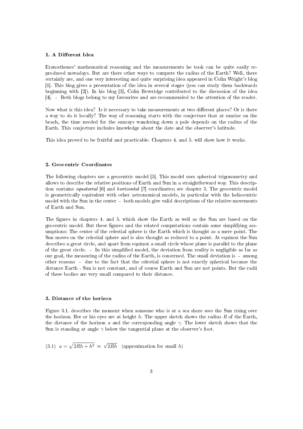## 1. A Different Idea

Eratosthenes' mathematical reasoning and the measurements he took can be quite easily reproduced nowadays. But are there other ways to compute the radius of the Earth? Well, there certainly are, and one very interesting and quite surprising idea appeared in Colin Wright's blog [1]. This blog gives a presentation of the idea in several stages (you can study them backwards beginning with [2]). In his blog [3], Colin Beveridge contributed to the discussion of the idea [4]. - Both blogs belong to my favourites and are recommended to the attention of the reader.

Now what is this idea? Is it necessary to take measurements at two different places? Or is there a way to do it locally? The way of reasoning starts with the conjecture that at sunrise on the beach, the time needed for the sunrays wandering down a pole depends on the radius of the Earth. This conjecture includes knowledge about the date and the observer's latitude.

This idea proved to be fruitful and practicable. Chapters 4. and 5. will show how it works.

## 2. Geocentric Coordinates

The following chapters use a geocentric model [5]. This model uses spherical trigonometry and allows to describe the relative positions of Earth and Sun in a straightforward way. This description contains equatorial [6] and horizontal [7] coordinates; see chapter 5. The geocentric model is geometrically equivalent with other astronomical models, in particular with the heliocentric model with the Sun in the center - both models give valid descriptions of the relative movements of Earth and Sun.

The figures in chapters 4. and 5. which show the Earth as well as the Sun are based on the geocentric model. But these figures and the related computations contain some simplifying assumptions: The center of the celestial sphere is the Earth which is thought as a mere point. The Sun moves on the celestial sphere and is also thought as reduced to a point. At equinox the Sun describes a great circle, and apart from equinox a small circle whose plane is parallel to the plane of the great circle. - In this simplied model, the deviation from reality is negligible as far as our goal, the measuring of the radius of the Earth, is concerned. The small deviation is - among other reasons - due to the fact that the celestial sphere is not exactly spherical because the distance Earth - Sun is not constant, and of course Earth and Sun are not points. But the radii of these bodies are very small compared to their distance.

#### 3. Distance of the horizon

Figure 3.1. describes the moment when someone who is at a sea shore sees the Sun rising over the horizon. Her or his eyes are at height  $h$ . The upper sketch shows the radius  $R$  of the Earth, the distance of the horizon a and the corresponding angle  $\gamma$ . The lower sketch shows that the Sun is standing at angle  $\gamma$  below the tangential plane at the observer's foot.

 $(3.1)$   $a = \sqrt{2Rh + h^2} \approx$ √  $2Rh$  (approximation for small h)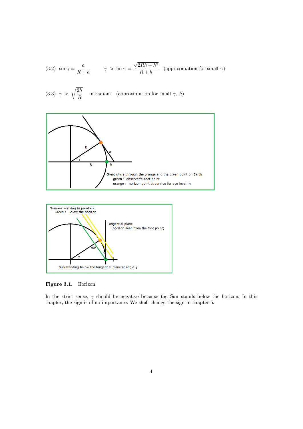(3.2) 
$$
\sin \gamma = \frac{a}{R+h}
$$
  $\gamma \approx \sin \gamma = \frac{\sqrt{2Rh + h^2}}{R+h}$  (approximation for small  $\gamma$ )

(3.3) 
$$
\gamma \approx \sqrt{\frac{2h}{R}}
$$
 in radians (approximation for small  $\gamma$ , h)





Figure 3.1. Horizon

In the strict sense,  $\gamma$  should be negative because the Sun stands below the horizon. In this chapter, the sign is of no importance. We shall change the sign in chapter 5.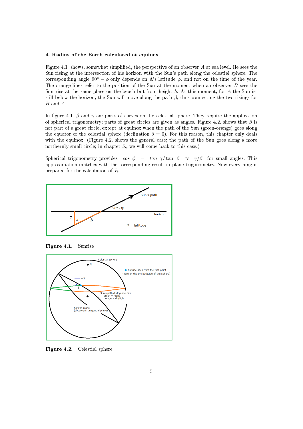#### 4. Radius of the Earth calculated at equinox

Figure 4.1. shows, somewhat simplified, the perspective of an observer A at sea level. He sees the Sun rising at the intersection of his horizon with the Sun's path along the celestial sphere. The corresponding angle 90°  $-\phi$  only depends on A's latitude  $\phi$ , and not on the time of the year. The orange lines refer to the position of the Sun at the moment when an observer B sees the Sun rise at the same place on the beach but from height  $h$ . At this moment, for  $A$  the Sun ist still below the horizon; the Sun will move along the path  $\beta$ , thus connecting the two risings for B and A.

In figure 4.1.  $\beta$  and  $\gamma$  are parts of curves on the celestial sphere. They require the application of spherical trigonometry; parts of great circles are given as angles. Figure 4.2. shows that  $\beta$  is not part of a great circle, except at equinox when the path of the Sun (green-orange) goes along the equator of the celestial sphere (declination  $\delta = 0$ ). For this reason, this chapter only deals with the equinox. (Figure 4.2, shows the general case; the path of the Sun goes along a more northernly small circle; in chapter 5., we will come back to this case.)

Spherical trigonometry provides  $\cos \phi = \tan \gamma / \tan \beta \approx \gamma / \beta$  for small angles. This approximation matches with the corresponding result in plane trigonometry. Now everything is prepared for the calculation of R.



Figure 4.1. Sunrise



Figure 4.2. Celestial sphere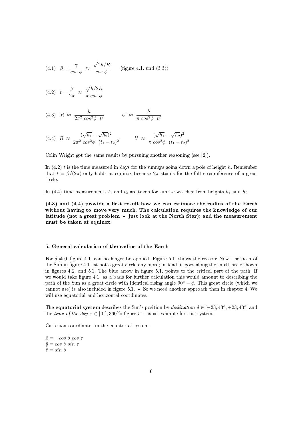(4.1) 
$$
\beta = \frac{\gamma}{\cos \phi} \approx \frac{\sqrt{2h/R}}{\cos \phi}
$$
 (figure 4.1. und (3.3))

$$
(4.2) \t t = \frac{\beta}{2\pi} \approx \frac{\sqrt{h/2R}}{\pi \cos \phi}
$$

$$
(4.3) \quad R \approx \frac{h}{2\pi^2 \cos^2 \phi \ t^2} \qquad U \approx \frac{h}{\pi \cos^2 \phi \ t^2}
$$

(4.4) 
$$
R \approx \frac{(\sqrt{h_1} - \sqrt{h_2})^2}{2\pi^2 \cos^2{\phi} (t_1 - t_2)^2}
$$
  $U \approx \frac{(\sqrt{h_1} - \sqrt{h_2})^2}{\pi \cos^2{\phi} (t_1 - t_2)^2}$ 

Colin Wright got the same results by pursuing another reasoning (see [2]).

In  $(4.2)$  t is the time measured in days for the sunrays going down a pole of height h. Remember that  $t = \beta/(2\pi)$  only holds at equinox because  $2\pi$  stands for the full circumference of a great circle.

In (4.4) time measurements  $t_1$  and  $t_2$  are taken for sunrise watched from heights  $h_1$  and  $h_2$ .

 $(4.3)$  and  $(4.4)$  provide a first result how we can estimate the radius of the Earth without having to move very much. The calculation requires the knowledge of our latitude (not a great problem - just look at the North Star); and the measurement must be taken at equinox.

## 5. General calculation of the radius of the Earth

For  $\delta \neq 0$ , figure 4.1. can no longer be applied. Figure 5.1. shows the reason: Now, the path of the Sun in figure 4.1. ist not a great circle any more; instead, it goes along the small circle shown in figures 4.2. and 5.1. The blue arrow in figure 5.1. points to the critical part of the path. If we would take figure 4.1. as a basis for further calculation this would amount to describing the path of the Sun as a great circle with identical rising angle  $90° - \phi$ . This great circle (which we cannot use) is also included in figure 5.1. - So we need another approach than in chapter 4. We will use equatorial and horizontal coordinates.

The equatorial system describes the Sun's position by *declination*  $\delta \in [-23, 43^{\circ}, +23, 43^{\circ}]$  and the time of the day  $\tau \in [0^{\circ}, 360^{\circ})$ ; figure 5.1. is an example for this system.

Cartesian coordinates in the equatorial system:

 $\tilde{x} = -\cos \delta \cos \tau$  $\tilde{y} = \cos \delta \sin \tau$  $\tilde{z} = \sin \delta$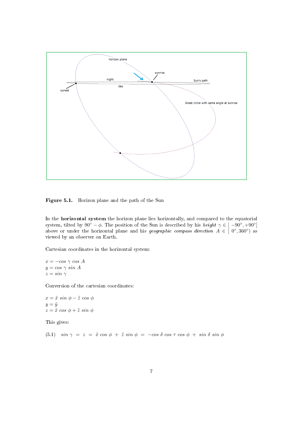

Figure 5.1. Horizon plane and the path of the Sun

In the horizontal system the horizon plane lies horizontally, and compared to the equatorial system, tilted by 90° –  $\phi$ . The position of the Sun is described by his *height*  $\gamma \in [-90^{\circ}, +90^{\circ}]$ above or under the horizontal plane and his *geographic compass direction*  $A \in [0^{\circ}, 360^{\circ})$  as viewed by an observer on Earth.

Cartesian coordinates in the horizontal system:

 $x = -\cos \gamma \cos A$  $y = cos \gamma sin A$  $z = sin \gamma$ 

Conversion of the cartesian coordinates:

 $x = \tilde{x} \sin \phi - \tilde{z} \cos \phi$  $y = \tilde{y}$  $z = \tilde{x} \cos \phi + \tilde{z} \sin \phi$ 

This gives:

(5.1)  $\sin \gamma = z = \tilde{x} \cos \phi + \tilde{z} \sin \phi = -\cos \delta \cos \tau \cos \phi + \sin \delta \sin \phi$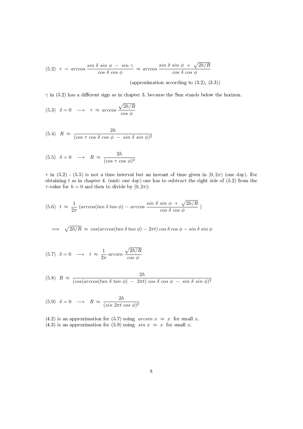(5.2) 
$$
\tau = \arccos \frac{\sin \delta \sin \phi - \sin \gamma}{\cos \delta \cos \phi} \approx \arccos \frac{\sin \delta \sin \phi + \sqrt{2h/R}}{\cos \delta \cos \phi}
$$

(approximation according to (3.2), (3.3))

 $\gamma$  in (5.2) has a different sign as in chapter 3. because the Sun stands below the horizon.

(5.3) 
$$
\delta = 0 \longrightarrow \tau \approx \arccos \frac{\sqrt{2h/R}}{\cos \phi}
$$

$$
(5.4) \quad R \approx \frac{2h}{(\cos \tau \cos \delta \cos \phi - \sin \delta \sin \phi)^2}
$$

$$
(5.5) \quad \delta = 0 \quad \longrightarrow \quad R \, \approx \, \frac{2h}{(\cos \tau \, \cos \, \phi)^2}
$$

 $\tau$  in (5.2) - (5.5) is not a time interval but an instant of time given in [0, 2 $\pi$ ] (one day). For obtaining  $t$  as in chapter 4. (unit: one day) one has to subtract the right side of  $(5.2)$  from the  $\tau$ -value for  $h = 0$  and then to divide by  $[0, 2\pi)$ :

(5.6) 
$$
t \approx \frac{1}{2\pi} \left( \arccos(\tan \delta \tan \phi) - \arccos \frac{\sin \delta \sin \phi + \sqrt{2h/R}}{\cos \delta \cos \phi} \right)
$$

$$
\implies \sqrt{2h/R} \approx \cos(\arccos(\tan \delta \tan \phi) - 2\pi t) \cos \delta \cos \phi - \sin \delta \sin \phi
$$

$$
(5.7) \quad \delta = 0 \quad \longrightarrow \quad t \approx \frac{1}{2\pi} \arcsin \frac{\sqrt{2h/R}}{\cos \phi}
$$

(5.8) 
$$
R \approx \frac{2h}{(\cos(\arccos(\tan \delta \tan \phi) - 2\pi t) \cos \delta \cos \phi - \sin \delta \sin \phi)^2}
$$

(5.9) 
$$
\delta = 0 \longrightarrow R \approx \frac{2h}{(\sin 2\pi t \cos \phi)^2}
$$

(4.2) is an approximation for (5.7) using  $\arcsin x \approx x$  for small x. (4.3) is an approximation for (5.9) using  $sin x \approx x$  for small x.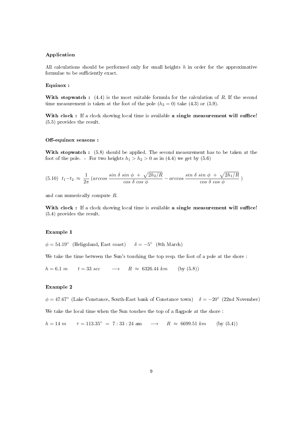## Application

All calculations should be performed only for small heights  $h$  in order for the approximative formulae to be sufficiently exact.

#### Equinox :

With stopwatch :  $(4.4)$  is the most suitable formula for the calculation of R. If the second time measurement is taken at the foot of the pole  $(h_2 = 0)$  take  $(4.3)$  or  $(5.9)$ .

With clock : If a clock showing local time is available a single measurement will suffice! (5.5) provides the result.

#### Off-equinox seasons :

With stopwatch :  $(5.8)$  should be applied. The second measurement has to be taken at the foot of the pole. - For two heights  $h_1 > h_2 > 0$  as in (4.4) we get by (5.6)

$$
(5.10) \t t_1 - t_2 \approx \frac{1}{2\pi} \left( \arccos \frac{\sin \delta \sin \phi + \sqrt{2h_2/R}}{\cos \delta \cos \phi} - \arccos \frac{\sin \delta \sin \phi + \sqrt{2h_1/R}}{\cos \delta \cos \phi} \right)
$$

and can numerically compute R.

With clock : If a clock showing local time is available a single measurement will suffice! (5.4) provides the result.

## Example 1

 $\phi = 54.19^{\circ}$  (Heligoland, East coast)  $\delta = -5^{\circ}$  (8th March)

We take the time between the Sun's touching the top resp. the foot of a pole at the shore :

 $h = 6.1 \, m$   $t = 33 \, sec$   $\longrightarrow$   $R \approx 6326.44 \, km$  (by (5.8))

## Example 2

 $\phi = 47.67^{\circ}$  (Lake Constance, South-East bank of Constance town)  $\delta = -20^{\circ}$  (22nd November)

We take the local time when the Sun touches the top of a flagpole at the shore :

 $h = 14 \text{ m}$   $\tau = 113.35^{\circ} = 7 : 33 : 24 \text{ am}$   $\rightarrow$   $R \approx 6699.51 \text{ km}$  (by (5.4))